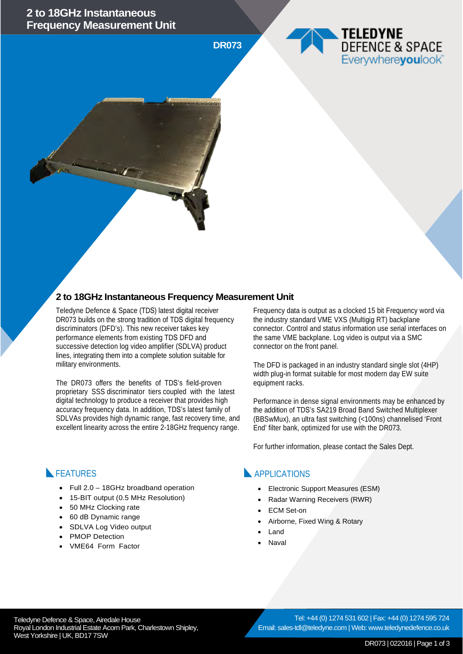### **2 to 18GHz Instantaneous Frequency Measurement Unit**

**DR073**

### **2 to 18GHz Instantaneous Frequency Measurement Unit**

Teledyne Defence & Space (TDS) latest digital receiver DR073 builds on the strong tradition of TDS digital frequency discriminators (DFD's). This new receiver takes key performance elements from existing TDS DFD and successive detection log video amplifier (SDLVA) product lines, integrating them into a complete solution suitable for military environments.

The DR073 offers the benefits of TDS's field-proven proprietary SSS discriminator tiers coupled with the latest digital technology to produce a receiver that provides high accuracy frequency data. In addition, TDS's latest family of SDLVAs provides high dynamic range, fast recovery time, and excellent linearity across the entire 2-18GHz frequency range.

• Full 2.0 – 18GHz broadband operation • 15-BIT output (0.5 MHz Resolution)

• 50 MHz Clocking rate • 60 dB Dynamic range SDLVA Log Video output

**FEATURES** 

PMOP Detection • VME64 Form Factor Frequency data is output as a clocked 15 bit Frequency word via the industry standard VME VXS (Multigig RT) backplane connector. Control and status information use serial interfaces on the same VME backplane. Log video is output via a SMC connector on the front panel.

TELEDYNE

**DEFENCE & SPACE** Everywhereyoulook

The DFD is packaged in an industry standard single slot (4HP) width plug-in format suitable for most modern day EW suite equipment racks.

Performance in dense signal environments may be enhanced by the addition of TDS's SA219 Broad Band Switched Multiplexer (BBSwMux), an ultra fast switching (<100ns) channelised 'Front End' filter bank, optimized for use with the DR073.

For further information, please contact the Sales Dept.

#### **APPLICATIONS**

- Electronic Support Measures (ESM)
- Radar Warning Receivers (RWR)
- **ECM** Set-on
- Airborne, Fixed Wing & Rotary
- Land
- **Naval**

Teledyne Defence & Space, Airedale House Royal London Industrial Estate Acorn Park, Charlestown Shipley, West Yorkshire | UK, BD17 7SW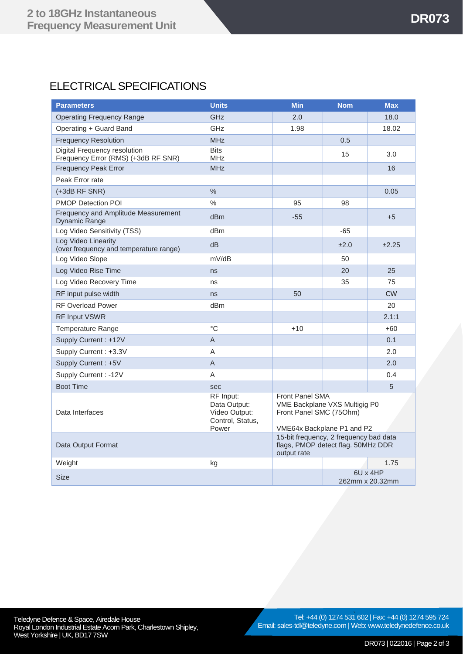# ELECTRICAL SPECIFICATIONS

| <b>Parameters</b>                                                   | <b>Units</b>                                                            | <b>Min</b>                                                                                                       | <b>Nom</b> | <b>Max</b>                  |
|---------------------------------------------------------------------|-------------------------------------------------------------------------|------------------------------------------------------------------------------------------------------------------|------------|-----------------------------|
| <b>Operating Frequency Range</b>                                    | GHz                                                                     | 2.0                                                                                                              |            | 18.0                        |
| Operating + Guard Band                                              | GHz                                                                     | 1.98                                                                                                             |            | 18.02                       |
| <b>Frequency Resolution</b>                                         | <b>MHz</b>                                                              |                                                                                                                  | 0.5        |                             |
| Digital Frequency resolution<br>Frequency Error (RMS) (+3dB RF SNR) | <b>Bits</b><br><b>MHz</b>                                               |                                                                                                                  | 15         | 3.0                         |
| <b>Frequency Peak Error</b>                                         | <b>MHz</b>                                                              |                                                                                                                  |            | 16                          |
| Peak Error rate                                                     |                                                                         |                                                                                                                  |            |                             |
| (+3dB RF SNR)                                                       | $\frac{0}{0}$                                                           |                                                                                                                  |            | 0.05                        |
| <b>PMOP Detection POI</b>                                           | $\frac{0}{0}$                                                           | 95                                                                                                               | 98         |                             |
| Frequency and Amplitude Measurement<br><b>Dynamic Range</b>         | d <sub>Bm</sub>                                                         | $-55$                                                                                                            |            | $+5$                        |
| Log Video Sensitivity (TSS)                                         | dB <sub>m</sub>                                                         |                                                                                                                  | $-65$      |                             |
| Log Video Linearity<br>(over frequency and temperature range)       | dB                                                                      |                                                                                                                  | ±2.0       | ±2.25                       |
| Log Video Slope                                                     | mV/dB                                                                   |                                                                                                                  | 50         |                             |
| Log Video Rise Time                                                 | ns                                                                      |                                                                                                                  | 20         | 25                          |
| Log Video Recovery Time                                             | ns                                                                      |                                                                                                                  | 35         | 75                          |
| RF input pulse width                                                | ns                                                                      | 50                                                                                                               |            | <b>CW</b>                   |
| <b>RF Overload Power</b>                                            | dBm                                                                     |                                                                                                                  |            | 20                          |
| RF Input VSWR                                                       |                                                                         |                                                                                                                  |            | 2.1:1                       |
| <b>Temperature Range</b>                                            | $^{\circ}C$                                                             | $+10$                                                                                                            |            | $+60$                       |
| Supply Current: +12V                                                | $\overline{A}$                                                          |                                                                                                                  |            | 0.1                         |
| Supply Current: +3.3V                                               | A                                                                       |                                                                                                                  |            | 2.0                         |
| Supply Current: +5V                                                 | $\mathsf A$                                                             |                                                                                                                  |            | 2.0                         |
| Supply Current : - 12V                                              | A                                                                       |                                                                                                                  |            | 0.4                         |
| <b>Boot Time</b>                                                    | sec                                                                     |                                                                                                                  |            | 5                           |
| Data Interfaces                                                     | RF Input:<br>Data Output:<br>Video Output:<br>Control, Status,<br>Power | <b>Front Panel SMA</b><br>VME Backplane VXS Multigig P0<br>Front Panel SMC (75Ohm)<br>VME64x Backplane P1 and P2 |            |                             |
| Data Output Format                                                  |                                                                         | 15-bit frequency, 2 frequency bad data<br>flags, PMOP detect flag. 50MHz DDR<br>output rate                      |            |                             |
| Weight                                                              | kg                                                                      |                                                                                                                  |            | 1.75                        |
| <b>Size</b>                                                         |                                                                         |                                                                                                                  |            | 6U x 4HP<br>262mm x 20.32mm |